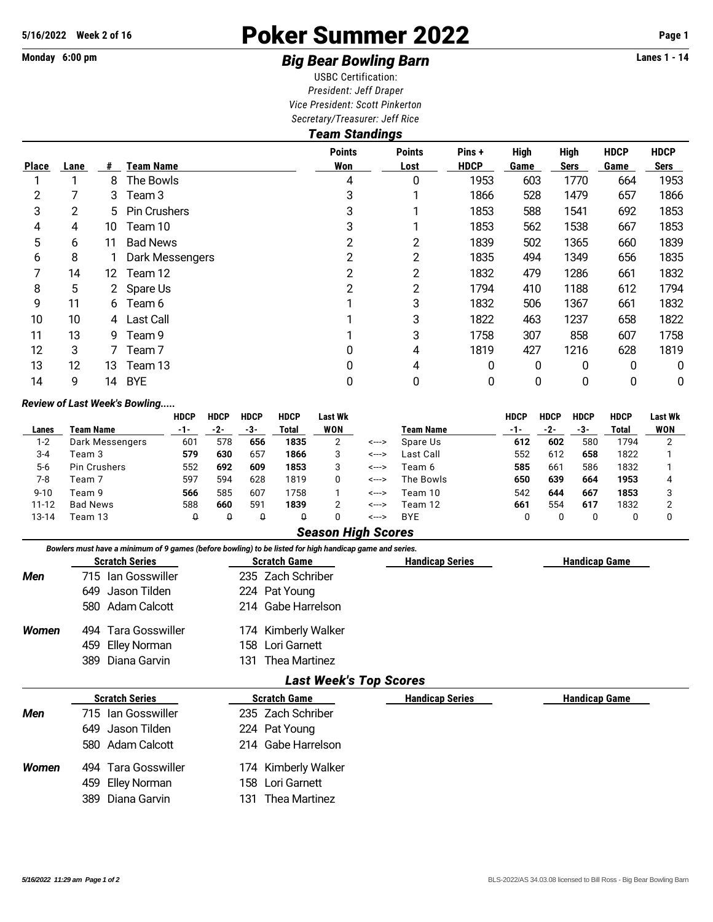# **5/16/2022 Week 2 of 16** Poker Summer 2022 **Page 1**

## Monday 6:00 pm **Example 2 and 3 and 3 and 3 and 3 and 3 and 3 Big Bear Bowling Barn Example 2 and 3 and 4** Lanes 1 - 14

USBC Certification: *President: Jeff Draper Vice President: Scott Pinkerton Secretary/Treasurer: Jeff Rice*

|              | <b>Team Standings</b> |    |                   |                      |                       |                       |                     |                            |                     |                     |  |  |
|--------------|-----------------------|----|-------------------|----------------------|-----------------------|-----------------------|---------------------|----------------------------|---------------------|---------------------|--|--|
| <b>Place</b> | Lane                  | #  | <b>Team Name</b>  | <b>Points</b><br>Won | <b>Points</b><br>Lost | Pins +<br><b>HDCP</b> | <b>High</b><br>Game | <b>High</b><br><b>Sers</b> | <b>HDCP</b><br>Game | <b>HDCP</b><br>Sers |  |  |
|              |                       | 8  | The Bowls         | 4                    | 0                     | 1953                  | 603                 | 1770                       | 664                 | 1953                |  |  |
| 2            |                       | 3  | Team 3            | 3                    |                       | 1866                  | 528                 | 1479                       | 657                 | 1866                |  |  |
| 3            | 2                     |    | 5 Pin Crushers    | 3                    |                       | 1853                  | 588                 | 1541                       | 692                 | 1853                |  |  |
| 4            | 4                     | 10 | Team 10           | 3                    |                       | 1853                  | 562                 | 1538                       | 667                 | 1853                |  |  |
| 5            | 6                     | 11 | <b>Bad News</b>   | 2                    | $\overline{2}$        | 1839                  | 502                 | 1365                       | 660                 | 1839                |  |  |
| 6            | 8                     |    | Dark Messengers   | 2                    | $\overline{2}$        | 1835                  | 494                 | 1349                       | 656                 | 1835                |  |  |
| 7            | 14                    | 12 | Team 12           | 2                    | $\overline{2}$        | 1832                  | 479                 | 1286                       | 661                 | 1832                |  |  |
| 8            | 5                     |    | 2 Spare Us        | 2                    | $\overline{2}$        | 1794                  | 410                 | 1188                       | 612                 | 1794                |  |  |
| 9            | 11                    | 6  | Team 6            |                      | 3                     | 1832                  | 506                 | 1367                       | 661                 | 1832                |  |  |
| 10           | 10                    |    | 4 Last Call       |                      | 3                     | 1822                  | 463                 | 1237                       | 658                 | 1822                |  |  |
| 11           | 13                    | 9. | Team 9            |                      | 3                     | 1758                  | 307                 | 858                        | 607                 | 1758                |  |  |
| 12           | 3                     |    | Team <sub>7</sub> |                      | 4                     | 1819                  | 427                 | 1216                       | 628                 | 1819                |  |  |
| 13           | 12                    | 13 | Team 13           | 0                    | 4                     | 0                     | 0                   | 0                          | 0                   | 0                   |  |  |
| 14           | 9                     | 14 | <b>BYE</b>        | 0                    | 0                     | 0                     | 0                   | 0                          | 0                   | 0                   |  |  |

### *Review of Last Week's Bowling.....*

|          |                     | <b>HDCP</b>     | <b>HDCP</b> | <b>HDCP</b> | <b>HDCP</b> | Last Wk |       |                  | <b>HDCP</b> | <b>HDCP</b> | <b>HDCP</b> | <b>HDCP</b> | <b>Last Wk</b> |
|----------|---------------------|-----------------|-------------|-------------|-------------|---------|-------|------------------|-------------|-------------|-------------|-------------|----------------|
| Lanes    | Team Name           | -1-             | -2-         | -3-         | Total       | WON     |       | <b>Team Name</b> | $-1-$       | -2-         | -3-         | Total       | WON            |
| 1-2      | Dark Messengers     | 60 <sup>2</sup> | 578         | 656         | 1835        |         | <---> | Spare Us         | 612         | 602         | 580         | 1794        |                |
| $3 - 4$  | Team 3              | 579             | 630         | 657         | 1866        | 3       | <---> | Last Call        | 552         | 612         | 658         | 1822        |                |
| $5-6$    | <b>Pin Crushers</b> | 552             | 692         | 609         | 1853        |         | <---> | Team 6           | 585         | 661         | 586         | 1832        |                |
| 7-8      | Team 7              | 597             | 594         | 628         | 1819        |         | <---> | The Bowls        | 650         | 639         | 664         | 1953        |                |
| $9 - 10$ | Team 9              | 566             | 585         | 607         | 1758        |         | <---> | Team 10          | 542         | 644         | 667         | 1853        |                |
| 11-12    | <b>Bad News</b>     | 588             | 660         | 591         | 1839        |         | <---> | Team 12          | 661         | 554         | 617         | 1832        |                |
| 13-14    | Геат 13             | Q               |             |             | Q           |         | <---> | BYE              |             |             |             |             |                |

### *Season High Scores*

|       | <b>Scratch Series</b> | <b>Scratch Game</b>           | <b>Handicap Series</b> | <b>Handicap Game</b> |  |  |  |
|-------|-----------------------|-------------------------------|------------------------|----------------------|--|--|--|
| Men   | 715 Ian Gosswiller    | 235 Zach Schriber             |                        |                      |  |  |  |
|       | 649<br>Jason Tilden   | 224 Pat Young                 |                        |                      |  |  |  |
|       | 580 Adam Calcott      | 214 Gabe Harrelson            |                        |                      |  |  |  |
| Women | 494 Tara Gosswiller   | 174 Kimberly Walker           |                        |                      |  |  |  |
|       | Elley Norman<br>459   | 158 Lori Garnett              |                        |                      |  |  |  |
|       | Diana Garvin<br>389   | Thea Martinez<br>131.         |                        |                      |  |  |  |
|       |                       | <b>Last Week's Top Scores</b> |                        |                      |  |  |  |
|       | <b>Scratch Series</b> | <b>Scratch Game</b>           | <b>Handicap Series</b> | <b>Handicap Game</b> |  |  |  |
| Men   | 715 Ian Gosswiller    | 235 Zach Schriber             |                        |                      |  |  |  |
|       | Jason Tilden<br>649   | 224 Pat Young                 |                        |                      |  |  |  |
|       | 580 Adam Calcott      | 214 Gabe Harrelson            |                        |                      |  |  |  |

389 Diana Garvin 131 Thea Martinez